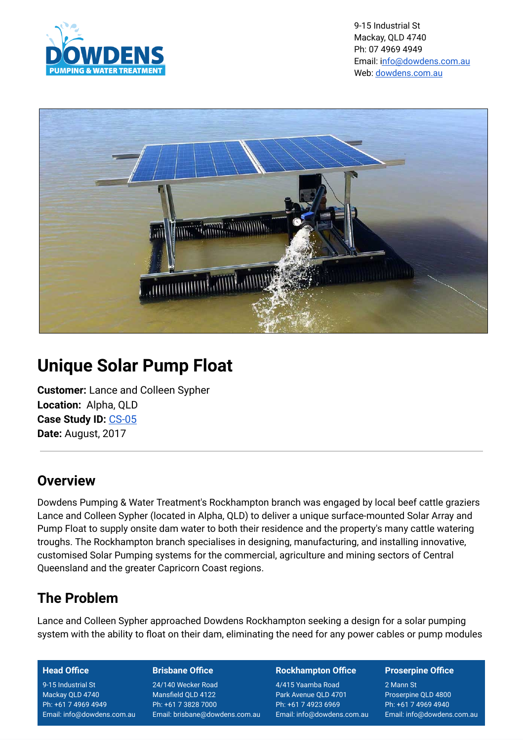

9-15 Industrial St Mackay, QLD 4740 Ph: 07 4969 4949 Email: i[nfo@dowdens.com.au](mailto:nfo@dowdens.com.au) Web: [dowdens.com.au](https://dowdens.com.au/)



# **Unique Solar Pump Float**

**Customer:** Lance and Colleen Sypher **Location:** Alpha, QLD **Case Study ID:** [CS-05](https://dowdens-pumping-sales-services-mackay-pty-ltd.mybigcommerce.com/case-studies/unique-floating-solar-pump/)  **Date:** August, 2017

# **Overview**

Dowdens Pumping & Water Treatment's Rockhampton branch was engaged by local beef cattle graziers Lance and Colleen Sypher (located in Alpha, QLD) to deliver a unique surface-mounted Solar Array and Pump Float to supply onsite dam water to both their residence and the property's many cattle watering troughs. The Rockhampton branch specialises in designing, manufacturing, and installing innovative, customised Solar Pumping systems for the commercial, agriculture and mining sectors of Central Queensland and the greater Capricorn Coast regions.

# **The Problem**

Lance and Colleen Sypher approached Dowdens Rockhampton seeking a design for a solar pumping system with the ability to float on their dam, eliminating the need for any power cables or pump modules

### **Head Office**

9-15 Industrial St Mackay QLD 4740 Ph: +61 7 4969 4949 Email: info@dowdens.com.au

### **Brisbane Office**

24/140 Wecker Road Mansfield QLD 4122 Ph: +61 7 3828 7000 Email: brisbane@dowdens.com.au

### **Rockhampton Office**

4/415 Yaamba Road Park Avenue QLD 4701 Ph: +61 7 4923 6969 Email: info@dowdens.com.au

### **Proserpine Office**

2 Mann St Proserpine QLD 4800 Ph: +61 7 4969 4940 Email: info@dowdens.com.au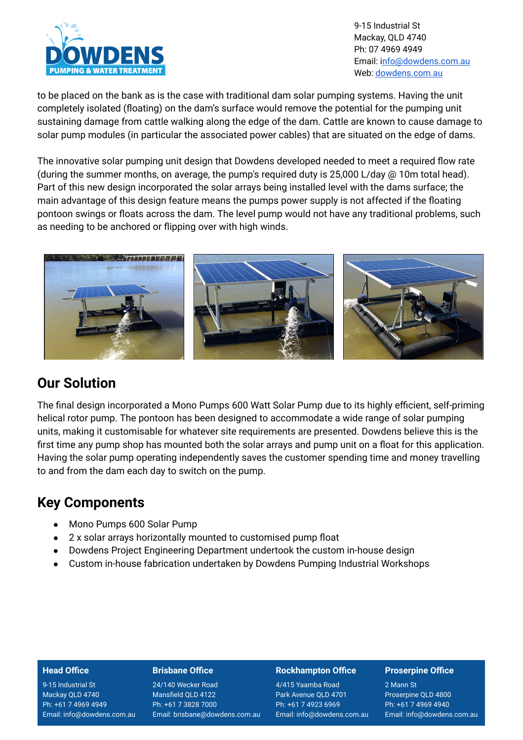

9-15 Industrial St Mackay, QLD 4740 Ph: 07 4969 4949 Email: i[nfo@dowdens.com.au](mailto:nfo@dowdens.com.au) Web: [dowdens.com.au](https://dowdens.com.au/)

to be placed on the bank as is the case with traditional dam solar pumping systems. Having the unit completely isolated (floating) on the dam's surface would remove the potential for the pumping unit sustaining damage from cattle walking along the edge of the dam. Cattle are known to cause damage to solar pump modules (in particular the associated power cables) that are situated on the edge of dams.

The innovative solar pumping unit design that Dowdens developed needed to meet a required flow rate (during the summer months, on average, the pump's required duty is 25,000 L/day @ 10m total head). Part of this new design incorporated the solar arrays being installed level with the dams surface; the main advantage of this design feature means the pumps power supply is not affected if the floating pontoon swings or floats across the dam. The level pump would not have any traditional problems, such as needing to be anchored or flipping over with high winds.



## **Our Solution**

The final design incorporated a Mono Pumps 600 Watt Solar Pump due to its highly efficient, self-priming helical rotor pump. The pontoon has been designed to accommodate a wide range of solar pumping units, making it customisable for whatever site requirements are presented. Dowdens believe this is the first time any pump shop has mounted both the solar arrays and pump unit on a float for this application. Having the solar pump operating independently saves the customer spending time and money travelling to and from the dam each day to switch on the pump.

# **Key Components**

- Mono Pumps 600 Solar Pump
- 2 x solar arrays horizontally mounted to customised pump float
- Dowdens Project Engineering Department undertook the custom in-house design
- Custom in-house fabrication undertaken by Dowdens Pumping Industrial Workshops

#### **Head Office**

9-15 Industrial St Mackay QLD 4740 Ph: +61 7 4969 4949 Email: info@dowdens.com.au

#### **Brisbane Office**

24/140 Wecker Road Mansfield QLD 4122 Ph: +61 7 3828 7000 Email: brisbane@dowdens.com.au

#### **Rockhampton Office**

4/415 Yaamba Road Park Avenue QLD 4701 Ph: +61 7 4923 6969 Email: info@dowdens.com.au

#### **Proserpine Office**

2 Mann St Proserpine QLD 4800 Ph: +61 7 4969 4940 Email: info@dowdens.com.au